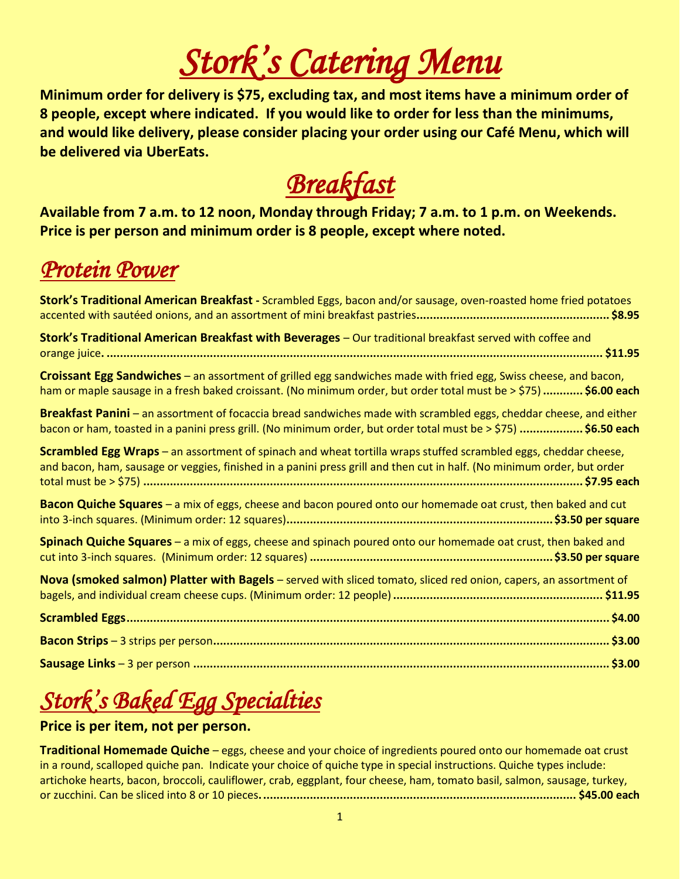# *Stork's Catering Menu*

**Minimum order for delivery is \$75, excluding tax, and most items have a minimum order of 8 people, except where indicated. If you would like to order for less than the minimums, and would like delivery, please consider placing your order using our Café Menu, which will be delivered via UberEats.** 

# *Breakfast*

**Available from 7 a.m. to 12 noon, Monday through Friday; 7 a.m. to 1 p.m. on Weekends. Price is per person and minimum order is 8 people, except where noted.**

### *Protein Power*

| Stork's Traditional American Breakfast - Scrambled Eggs, bacon and/or sausage, oven-roasted home fried potatoes                                                                                                                                   |
|---------------------------------------------------------------------------------------------------------------------------------------------------------------------------------------------------------------------------------------------------|
| Stork's Traditional American Breakfast with Beverages - Our traditional breakfast served with coffee and                                                                                                                                          |
| Croissant Egg Sandwiches - an assortment of grilled egg sandwiches made with fried egg, Swiss cheese, and bacon,<br>ham or maple sausage in a fresh baked croissant. (No minimum order, but order total must be > \$75)  \$6.00 each              |
| Breakfast Panini – an assortment of focaccia bread sandwiches made with scrambled eggs, cheddar cheese, and either<br>bacon or ham, toasted in a panini press grill. (No minimum order, but order total must be > \$75)  \$6.50 each              |
| <b>Scrambled Egg Wraps</b> – an assortment of spinach and wheat tortilla wraps stuffed scrambled eggs, cheddar cheese,<br>and bacon, ham, sausage or veggies, finished in a panini press grill and then cut in half. (No minimum order, but order |
| Bacon Quiche Squares - a mix of eggs, cheese and bacon poured onto our homemade oat crust, then baked and cut                                                                                                                                     |
| Spinach Quiche Squares - a mix of eggs, cheese and spinach poured onto our homemade oat crust, then baked and                                                                                                                                     |
| Nova (smoked salmon) Platter with Bagels - served with sliced tomato, sliced red onion, capers, an assortment of                                                                                                                                  |
|                                                                                                                                                                                                                                                   |
|                                                                                                                                                                                                                                                   |
|                                                                                                                                                                                                                                                   |

## *Stork's Baked Egg Specialties*

#### **Price is per item, not per person.**

**Traditional Homemade Quiche** – eggs, cheese and your choice of ingredients poured onto our homemade oat crust in a round, scalloped quiche pan. Indicate your choice of quiche type in special instructions. Quiche types include: artichoke hearts, bacon, broccoli, cauliflower, crab, eggplant, four cheese, ham, tomato basil, salmon, sausage, turkey, or zucchini. Can be sliced into 8 or 10 pieces**............................................................................................... \$45.00 each**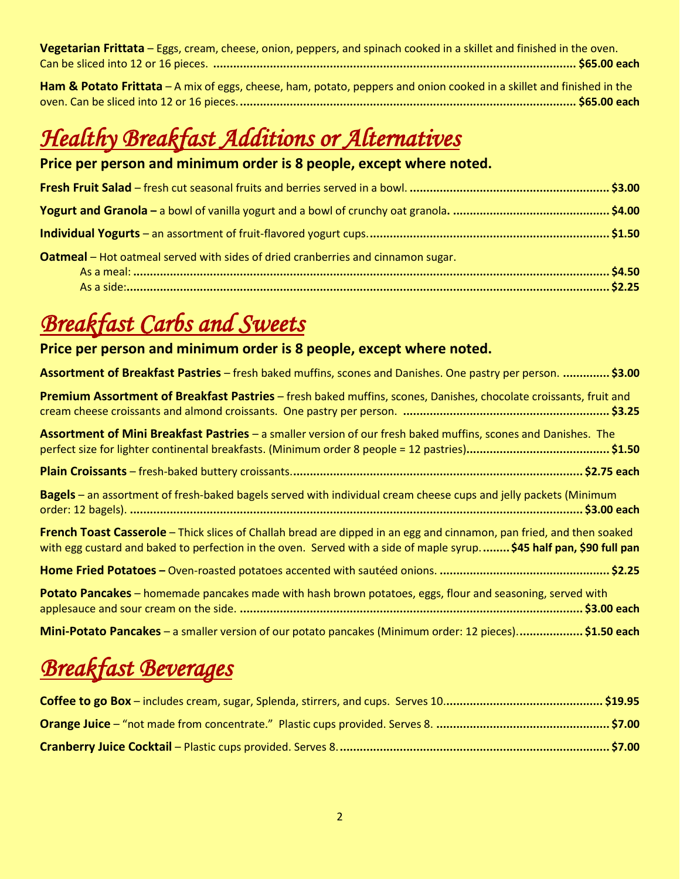| Vegetarian Frittata – Eggs, cream, cheese, onion, peppers, and spinach cooked in a skillet and finished in the oven.  |  |
|-----------------------------------------------------------------------------------------------------------------------|--|
|                                                                                                                       |  |
| Ham & Potato Frittata – A mix of eggs, cheese, ham, potato, peppers and onion cooked in a skillet and finished in the |  |
|                                                                                                                       |  |

## *Healthy Breakfast Additions or Alternatives*

#### **Price per person and minimum order is 8 people, except where noted.**

| Oatmeal - Hot oatmeal served with sides of dried cranberries and cinnamon sugar. |  |
|----------------------------------------------------------------------------------|--|
|                                                                                  |  |

### *Breakfast Carbs and Sweets*

#### **Price per person and minimum order is 8 people, except where noted.**

| Assortment of Breakfast Pastries – fresh baked muffins, scones and Danishes. One pastry per person. \$3.00                                                                                                                                   |
|----------------------------------------------------------------------------------------------------------------------------------------------------------------------------------------------------------------------------------------------|
| Premium Assortment of Breakfast Pastries - fresh baked muffins, scones, Danishes, chocolate croissants, fruit and                                                                                                                            |
| Assortment of Mini Breakfast Pastries - a smaller version of our fresh baked muffins, scones and Danishes. The                                                                                                                               |
|                                                                                                                                                                                                                                              |
| <b>Bagels</b> – an assortment of fresh-baked bagels served with individual cream cheese cups and jelly packets (Minimum                                                                                                                      |
| French Toast Casserole - Thick slices of Challah bread are dipped in an egg and cinnamon, pan fried, and then soaked<br>with egg custard and baked to perfection in the oven. Served with a side of maple syrup \$45 half pan, \$90 full pan |
|                                                                                                                                                                                                                                              |
| <b>Potato Pancakes</b> – homemade pancakes made with hash brown potatoes, eggs, flour and seasoning, served with                                                                                                                             |
| Mini-Potato Pancakes - a smaller version of our potato pancakes (Minimum order: 12 pieces)\$1.50 each                                                                                                                                        |

### *Breakfast Beverages*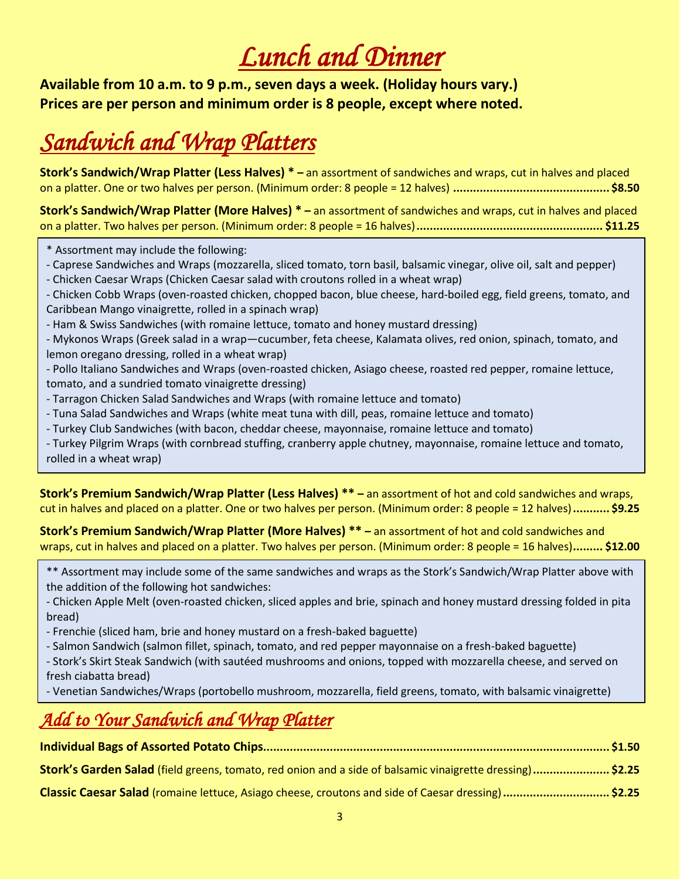# *Lunch and Dinner*

**Available from 10 a.m. to 9 p.m., seven days a week. (Holiday hours vary.) Prices are per person and minimum order is 8 people, except where noted.** 

## *Sandwich and Wrap Platters*

**Stork's Sandwich/Wrap Platter (Less Halves) \* –** an assortment of sandwiches and wraps, cut in halves and placed on a platter. One or two halves per person. (Minimum order: 8 people = 12 halves) **............................................... \$8.50**

**Stork's Sandwich/Wrap Platter (More Halves) \* –** an assortment of sandwiches and wraps, cut in halves and placed on a platter. Two halves per person. (Minimum order: 8 people = 16 halves)**........................................................ \$11.25**

- \* Assortment may include the following:
- Caprese Sandwiches and Wraps (mozzarella, sliced tomato, torn basil, balsamic vinegar, olive oil, salt and pepper)
- Chicken Caesar Wraps (Chicken Caesar salad with croutons rolled in a wheat wrap)
- Chicken Cobb Wraps (oven-roasted chicken, chopped bacon, blue cheese, hard-boiled egg, field greens, tomato, and Caribbean Mango vinaigrette, rolled in a spinach wrap)
- Ham & Swiss Sandwiches (with romaine lettuce, tomato and honey mustard dressing)

- Mykonos Wraps (Greek salad in a wrap—cucumber, feta cheese, Kalamata olives, red onion, spinach, tomato, and lemon oregano dressing, rolled in a wheat wrap)

- Pollo Italiano Sandwiches and Wraps (oven-roasted chicken, Asiago cheese, roasted red pepper, romaine lettuce, tomato, and a sundried tomato vinaigrette dressing)

- Tarragon Chicken Salad Sandwiches and Wraps (with romaine lettuce and tomato)
- Tuna Salad Sandwiches and Wraps (white meat tuna with dill, peas, romaine lettuce and tomato)
- Turkey Club Sandwiches (with bacon, cheddar cheese, mayonnaise, romaine lettuce and tomato)
- Turkey Pilgrim Wraps (with cornbread stuffing, cranberry apple chutney, mayonnaise, romaine lettuce and tomato, rolled in a wheat wrap)

**Stork's Premium Sandwich/Wrap Platter (Less Halves) \*\* –** an assortment of hot and cold sandwiches and wraps, cut in halves and placed on a platter. One or two halves per person. (Minimum order: 8 people = 12 halves)**........... \$9.25**

**Stork's Premium Sandwich/Wrap Platter (More Halves) \*\* –** an assortment of hot and cold sandwiches and wraps, cut in halves and placed on a platter. Two halves per person. (Minimum order: 8 people = 16 halves)**......... \$12.00**

\*\* Assortment may include some of the same sandwiches and wraps as the Stork's Sandwich/Wrap Platter above with the addition of the following hot sandwiches:

- Chicken Apple Melt (oven-roasted chicken, sliced apples and brie, spinach and honey mustard dressing folded in pita bread)

- Frenchie (sliced ham, brie and honey mustard on a fresh-baked baguette)
- Salmon Sandwich (salmon fillet, spinach, tomato, and red pepper mayonnaise on a fresh-baked baguette)
- Stork's Skirt Steak Sandwich (with sautéed mushrooms and onions, topped with mozzarella cheese, and served on fresh ciabatta bread)

- Venetian Sandwiches/Wraps (portobello mushroom, mozzarella, field greens, tomato, with balsamic vinaigrette)

### *Add to Your Sandwich and Wrap Platter*

| Stork's Garden Salad (field greens, tomato, red onion and a side of balsamic vinaigrette dressing)\$2.25 |  |
|----------------------------------------------------------------------------------------------------------|--|

**Classic Caesar Salad** (romaine lettuce, Asiago cheese, croutons and side of Caesar dressing)**................................ \$2.25**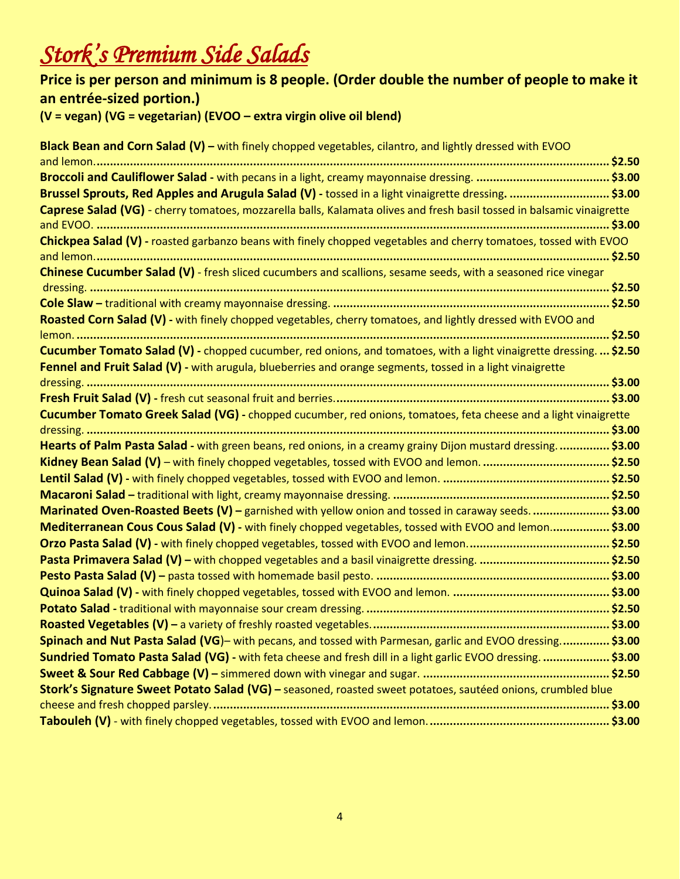## *Stork's Premium Side Salads*

#### **Price is per person and minimum is 8 people. (Order double the number of people to make it an entrée-sized portion.) (V = vegan) (VG = vegetarian) (EVOO – extra virgin olive oil blend) Black Bean and Corn Salad (V) –** with finely chopped vegetables, cilantro, and lightly dressed with EVOO and lemon.**.......................................................................................................................................................... \$2.50 Broccoli and Cauliflower Salad -** with pecans in a light, creamy mayonnaise dressing. **........................................ \$3.00 Brussel Sprouts, Red Apples and Arugula Salad (V) -** tossed in a light vinaigrette dressing**. .............................. \$3.00 Caprese Salad (VG)** - cherry tomatoes, mozzarella balls, Kalamata olives and fresh basil tossed in balsamic vinaigrette and EVOO. **.......................................................................................................................................................... \$3.00 Chickpea Salad (V) -** roasted garbanzo beans with finely chopped vegetables and cherry tomatoes, tossed with EVOO and lemon.**.......................................................................................................................................................... \$2.50 Chinese Cucumber Salad (V)** - fresh sliced cucumbers and scallions, sesame seeds, with a seasoned rice vinegar dressing. **............................................................................................................................................................ \$2.50 Cole Slaw –** traditional with creamy mayonnaise dressing. **................................................................................... \$2.50 Roasted Corn Salad (V) -** with finely chopped vegetables, cherry tomatoes, and lightly dressed with EVOO and lemon. **................................................................................................................................................................ \$2.50 Cucumber Tomato Salad (V) -** chopped cucumber, red onions, and tomatoes, with a light vinaigrette dressing. **... \$2.50 Fennel and Fruit Salad (V) -** with arugula, blueberries and orange segments, tossed in a light vinaigrette dressing. **............................................................................................................................................................. \$3.00 Fresh Fruit Salad (V) -** fresh cut seasonal fruit and berries.**.................................................................................. \$3.00 Cucumber Tomato Greek Salad (VG) -** chopped cucumber, red onions, tomatoes, feta cheese and a light vinaigrette dressing. **............................................................................................................................................................. \$3.00 Hearts of Palm Pasta Salad -** with green beans, red onions, in a creamy grainy Dijon mustard dressing.**............... \$3.00 Kidney Bean Salad (V)** – with finely chopped vegetables, tossed with EVOO and lemon. **...................................... \$2.50 Lentil Salad (V) -** with finely chopped vegetables, tossed with EVOO and lemon. **.................................................. \$2.50 Macaroni Salad –** traditional with light, creamy mayonnaise dressing. **................................................................. \$2.50 Marinated Oven-Roasted Beets (V) –** garnished with yellow onion and tossed in caraway seeds. **....................... \$3.00 Mediterranean Cous Cous Salad (V) -** with finely chopped vegetables, tossed with EVOO and lemon.**................. \$3.00 Orzo Pasta Salad (V) -** with finely chopped vegetables, tossed with EVOO and lemon.**.......................................... \$2.50 Pasta Primavera Salad (V) –** with chopped vegetables and a basil vinaigrette dressing. **....................................... \$2.50 Pesto Pasta Salad (V) –** pasta tossed with homemade basil pesto. **...................................................................... \$3.00 Quinoa Salad (V) -** with finely chopped vegetables, tossed with EVOO and lemon. **............................................... \$3.00 Potato Salad -** traditional with mayonnaise sour cream dressing. **......................................................................... \$2.50 Roasted Vegetables (V) –** a variety of freshly roasted vegetables.**....................................................................... \$3.00**

**Spinach and Nut Pasta Salad (VG**)– with pecans, and tossed with Parmesan, garlic and EVOO dressing.**.............. \$3.00 Sundried Tomato Pasta Salad (VG) -** with feta cheese and fresh dill in a light garlic EVOO dressing. **.................... \$3.00 Sweet & Sour Red Cabbage (V) –** simmered down with vinegar and sugar. **........................................................ \$2.50 Stork's Signature Sweet Potato Salad (VG) –** seasoned, roasted sweet potatoes, sautéed onions, crumbled blue cheese and fresh chopped parsley.**....................................................................................................................... \$3.00 Tabouleh (V)** - with finely chopped vegetables, tossed with EVOO and lemon.**...................................................... \$3.00**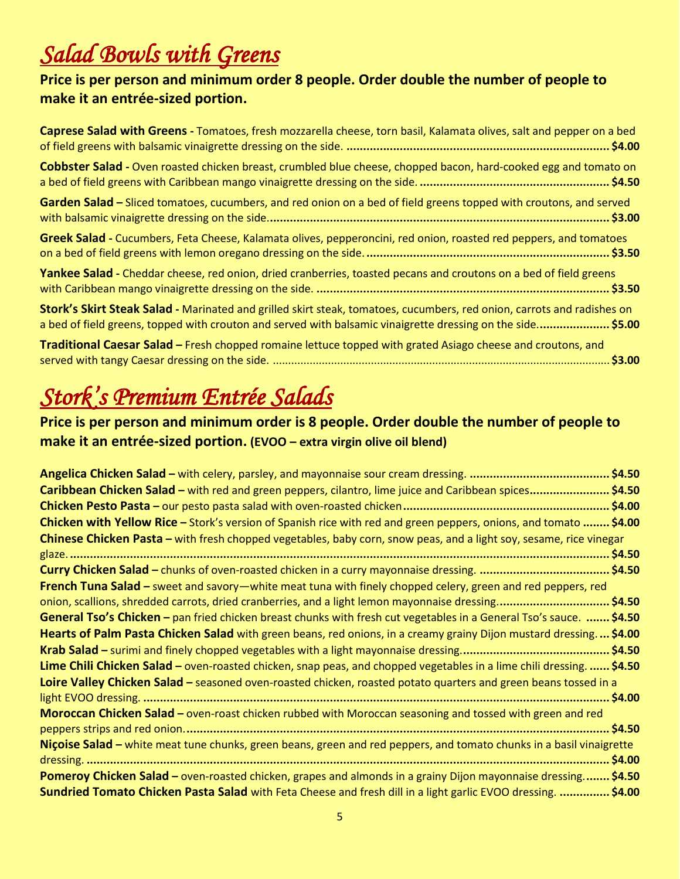## *Salad Bowls with Greens*

#### **Price is per person and minimum order 8 people. Order double the number of people to make it an entrée-sized portion.**

| Caprese Salad with Greens - Tomatoes, fresh mozzarella cheese, torn basil, Kalamata olives, salt and pepper on a bed                                                                                                                 |
|--------------------------------------------------------------------------------------------------------------------------------------------------------------------------------------------------------------------------------------|
| Cobbster Salad - Oven roasted chicken breast, crumbled blue cheese, chopped bacon, hard-cooked egg and tomato on                                                                                                                     |
| Garden Salad – Sliced tomatoes, cucumbers, and red onion on a bed of field greens topped with croutons, and served                                                                                                                   |
| Greek Salad - Cucumbers, Feta Cheese, Kalamata olives, pepperoncini, red onion, roasted red peppers, and tomatoes                                                                                                                    |
| Yankee Salad - Cheddar cheese, red onion, dried cranberries, toasted pecans and croutons on a bed of field greens                                                                                                                    |
| Stork's Skirt Steak Salad - Marinated and grilled skirt steak, tomatoes, cucumbers, red onion, carrots and radishes on<br>a bed of field greens, topped with crouton and served with balsamic vinaigrette dressing on the side\$5.00 |
| Traditional Caesar Salad – Fresh chopped romaine lettuce topped with grated Asiago cheese and croutons, and<br>53.00                                                                                                                 |

## *Stork's Premium Entrée Salads*

#### **Price is per person and minimum order is 8 people. Order double the number of people to make it an entrée-sized portion. (EVOO – extra virgin olive oil blend)**

| Caribbean Chicken Salad – with red and green peppers, cilantro, lime juice and Caribbean spices\$4.50                |
|----------------------------------------------------------------------------------------------------------------------|
|                                                                                                                      |
| Chicken with Yellow Rice - Stork's version of Spanish rice with red and green peppers, onions, and tomato  \$4.00    |
| Chinese Chicken Pasta – with fresh chopped vegetables, baby corn, snow peas, and a light soy, sesame, rice vinegar   |
|                                                                                                                      |
|                                                                                                                      |
| French Tuna Salad – sweet and savory—white meat tuna with finely chopped celery, green and red peppers, red          |
| onion, scallions, shredded carrots, dried cranberries, and a light lemon mayonnaise dressing\$4.50                   |
| General Tso's Chicken - pan fried chicken breast chunks with fresh cut vegetables in a General Tso's sauce.  \$4.50  |
| Hearts of Palm Pasta Chicken Salad with green beans, red onions, in a creamy grainy Dijon mustard dressing\$4.00     |
|                                                                                                                      |
| Lime Chili Chicken Salad – oven-roasted chicken, snap peas, and chopped vegetables in a lime chili dressing.  \$4.50 |
| Loire Valley Chicken Salad - seasoned oven-roasted chicken, roasted potato quarters and green beans tossed in a      |
|                                                                                                                      |
| <b>Moroccan Chicken Salad</b> – oven-roast chicken rubbed with Moroccan seasoning and tossed with green and red      |
|                                                                                                                      |
| Nicoise Salad - white meat tune chunks, green beans, green and red peppers, and tomato chunks in a basil vinaigrette |
| <b>Pomeroy Chicken Salad</b> – oven-roasted chicken, grapes and almonds in a grainy Dijon mayonnaise dressing \$4.50 |
| Sundried Tomato Chicken Pasta Salad with Feta Cheese and fresh dill in a light garlic EVOO dressing.  \$4.00         |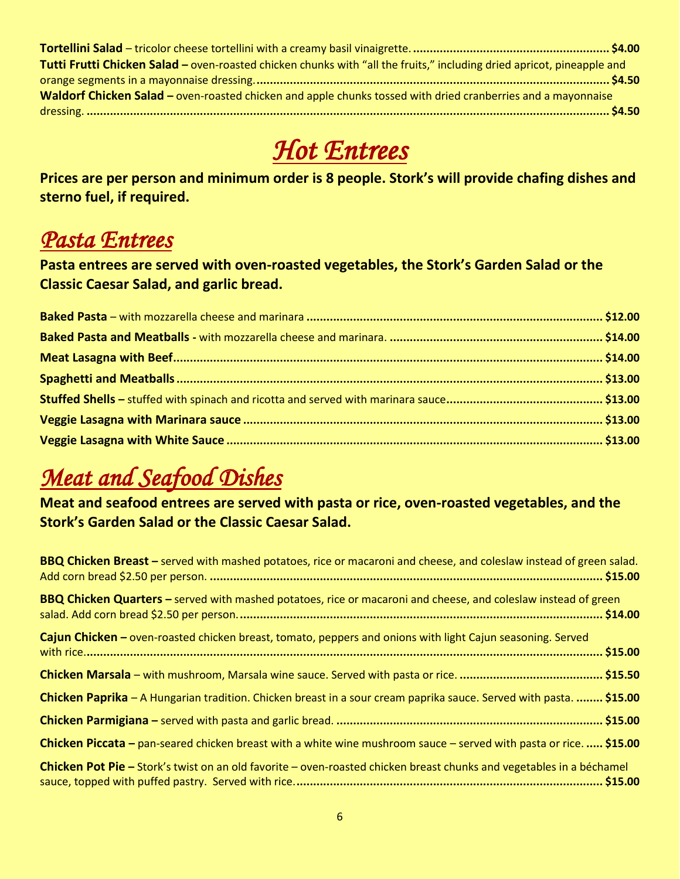| Tutti Frutti Chicken Salad - oven-roasted chicken chunks with "all the fruits," including dried apricot, pineapple and |  |
|------------------------------------------------------------------------------------------------------------------------|--|
|                                                                                                                        |  |
| Waldorf Chicken Salad - oven-roasted chicken and apple chunks tossed with dried cranberries and a mayonnaise           |  |
|                                                                                                                        |  |

### *Hot Entrees*

**Prices are per person and minimum order is 8 people. Stork's will provide chafing dishes and sterno fuel, if required.** 

### *Pasta Entrees*

**Pasta entrees are served with oven-roasted vegetables, the Stork's Garden Salad or the Classic Caesar Salad, and garlic bread.** 

### *Meat and Seafood Dishes*

**Meat and seafood entrees are served with pasta or rice, oven-roasted vegetables, and the Stork's Garden Salad or the Classic Caesar Salad.** 

| <b>BBQ Chicken Breast</b> – served with mashed potatoes, rice or macaroni and cheese, and coleslaw instead of green salad.  |  |
|-----------------------------------------------------------------------------------------------------------------------------|--|
| <b>BBQ Chicken Quarters</b> – served with mashed potatoes, rice or macaroni and cheese, and coleslaw instead of green       |  |
| Cajun Chicken – oven-roasted chicken breast, tomato, peppers and onions with light Cajun seasoning. Served                  |  |
|                                                                                                                             |  |
| Chicken Paprika – A Hungarian tradition. Chicken breast in a sour cream paprika sauce. Served with pasta.  \$15.00          |  |
|                                                                                                                             |  |
| Chicken Piccata – pan-seared chicken breast with a white wine mushroom sauce – served with pasta or rice.  \$15.00          |  |
| <b>Chicken Pot Pie –</b> Stork's twist on an old favorite – oven-roasted chicken breast chunks and vegetables in a béchamel |  |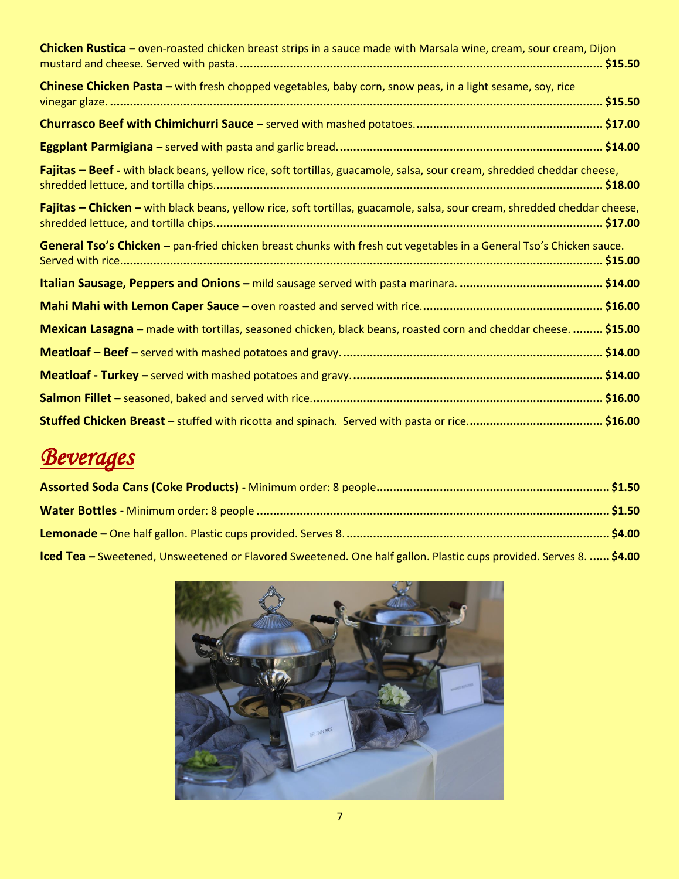| Chicken Rustica - oven-roasted chicken breast strips in a sauce made with Marsala wine, cream, sour cream, Dijon          |
|---------------------------------------------------------------------------------------------------------------------------|
| Chinese Chicken Pasta - with fresh chopped vegetables, baby corn, snow peas, in a light sesame, soy, rice                 |
|                                                                                                                           |
|                                                                                                                           |
| Fajitas - Beef - with black beans, yellow rice, soft tortillas, guacamole, salsa, sour cream, shredded cheddar cheese,    |
| Fajitas - Chicken - with black beans, yellow rice, soft tortillas, guacamole, salsa, sour cream, shredded cheddar cheese, |
| General Tso's Chicken - pan-fried chicken breast chunks with fresh cut vegetables in a General Tso's Chicken sauce.       |
|                                                                                                                           |
|                                                                                                                           |
| Mexican Lasagna - made with tortillas, seasoned chicken, black beans, roasted corn and cheddar cheese.  \$15.00           |
|                                                                                                                           |
|                                                                                                                           |
|                                                                                                                           |
|                                                                                                                           |

## *Beverages*

| <b>Iced Tea</b> – Sweetened, Unsweetened or Flavored Sweetened. One half gallon. Plastic cups provided. Serves 8.  \$4.00 |  |
|---------------------------------------------------------------------------------------------------------------------------|--|

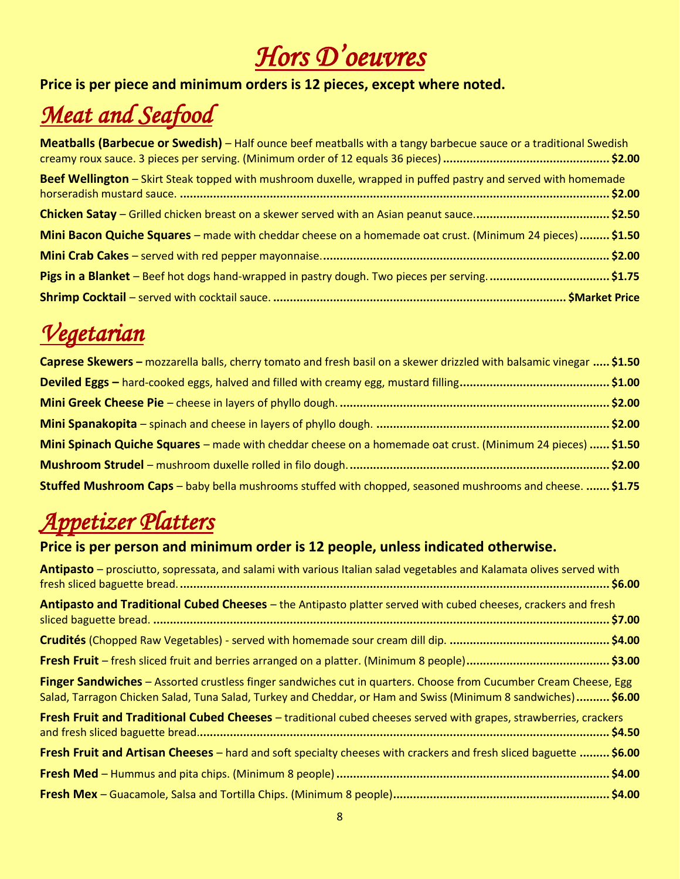# *Hors D'oeuvres*

#### **Price is per piece and minimum orders is 12 pieces, except where noted.**

## *Meat and Seafood*

| Meatballs (Barbecue or Swedish) - Half ounce beef meatballs with a tangy barbecue sauce or a traditional Swedish |  |
|------------------------------------------------------------------------------------------------------------------|--|
| Beef Wellington - Skirt Steak topped with mushroom duxelle, wrapped in puffed pastry and served with homemade    |  |
|                                                                                                                  |  |
| Mini Bacon Quiche Squares - made with cheddar cheese on a homemade oat crust. (Minimum 24 pieces)  \$1.50        |  |
|                                                                                                                  |  |
| Pigs in a Blanket - Beef hot dogs hand-wrapped in pastry dough. Two pieces per serving\$1.75                     |  |
|                                                                                                                  |  |

## *Vegetarian*

| Caprese Skewers – mozzarella balls, cherry tomato and fresh basil on a skewer drizzled with balsamic vinegar  \$1.50 |  |
|----------------------------------------------------------------------------------------------------------------------|--|
|                                                                                                                      |  |
|                                                                                                                      |  |
|                                                                                                                      |  |
| Mini Spinach Quiche Squares – made with cheddar cheese on a homemade oat crust. (Minimum 24 pieces)  \$1.50          |  |
|                                                                                                                      |  |
| <b>Stuffed Mushroom Caps</b> – baby bella mushrooms stuffed with chopped, seasoned mushrooms and cheese.  \$1.75     |  |

### *Appetizer Platters*

#### **Price is per person and minimum order is 12 people, unless indicated otherwise.**

| Antipasto – prosciutto, sopressata, and salami with various Italian salad vegetables and Kalamata olives served with                                                                                                              |  |
|-----------------------------------------------------------------------------------------------------------------------------------------------------------------------------------------------------------------------------------|--|
| Antipasto and Traditional Cubed Cheeses – the Antipasto platter served with cubed cheeses, crackers and fresh                                                                                                                     |  |
|                                                                                                                                                                                                                                   |  |
|                                                                                                                                                                                                                                   |  |
| Finger Sandwiches - Assorted crustless finger sandwiches cut in quarters. Choose from Cucumber Cream Cheese, Egg<br>Salad, Tarragon Chicken Salad, Tuna Salad, Turkey and Cheddar, or Ham and Swiss (Minimum 8 sandwiches) \$6.00 |  |
| Fresh Fruit and Traditional Cubed Cheeses - traditional cubed cheeses served with grapes, strawberries, crackers                                                                                                                  |  |
| <b>Fresh Fruit and Artisan Cheeses</b> – hard and soft specialty cheeses with crackers and fresh sliced baguette  \$6.00                                                                                                          |  |
|                                                                                                                                                                                                                                   |  |
|                                                                                                                                                                                                                                   |  |